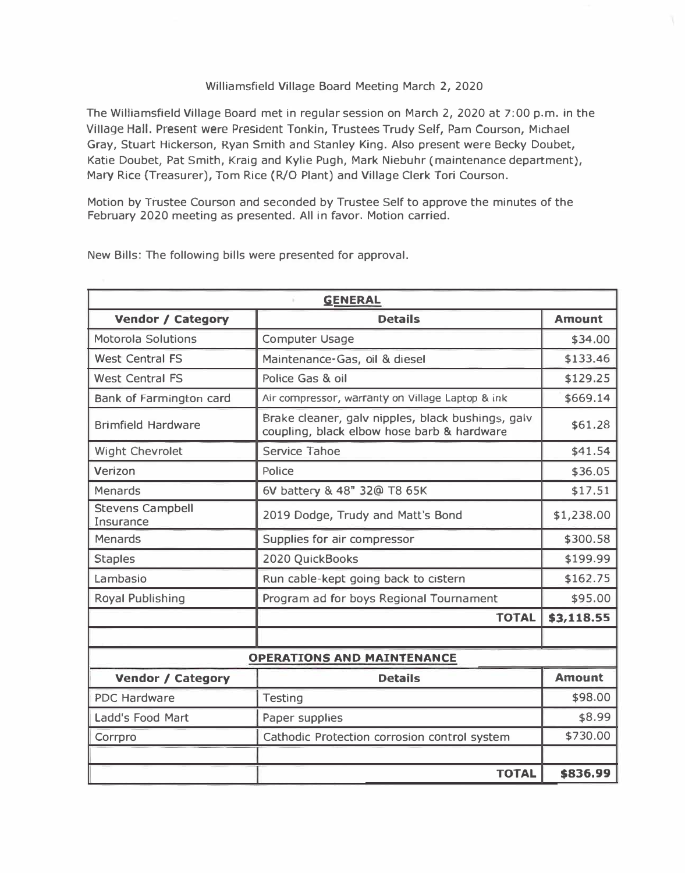## Williamsfield Village Board Meeting March 2, 2020

The Williamsfield Village Board met in regular session on March 2, 2020 at 7:00 p.m. in the Village Hall. Present were President Tonkin, Trustees Trudy Self, Pam Courson, Michael Gray, Stuart Hickerson, Ryan Smith and Stanley King. Also present were Becky Doubet, Katie Doubet, Pat Smith, Kraig and Kylie Pugh, Mark Niebuhr (maintenance department), Mary Rice (Treasurer), Tom Rice (R/O Plant) and Village Clerk Tori Courson.

Motion by Trustee Courson and seconded by Trustee Self to approve the minutes of the February 2020 meeting as presented. All in favor. Motion carried.

| <b>GENERAL</b>                       |                                                                                                 |               |  |
|--------------------------------------|-------------------------------------------------------------------------------------------------|---------------|--|
| <b>Vendor / Category</b>             | <b>Details</b>                                                                                  | <b>Amount</b> |  |
| <b>Motorola Solutions</b>            | <b>Computer Usage</b>                                                                           | \$34.00       |  |
| <b>West Central FS</b>               | Maintenance-Gas, oil & diesel                                                                   | \$133.46      |  |
| <b>West Central FS</b>               | Police Gas & oil                                                                                | \$129.25      |  |
| Bank of Farmington card              | Air compressor, warranty on Village Laptop & ink                                                | \$669.14      |  |
| <b>Brimfield Hardware</b>            | Brake cleaner, galv nipples, black bushings, galv<br>coupling, black elbow hose barb & hardware | \$61.28       |  |
| <b>Wight Chevrolet</b>               | Service Tahoe                                                                                   | \$41.54       |  |
| Verizon                              | Police                                                                                          | \$36.05       |  |
| Menards                              | 6V battery & 48" 32@ T8 65K                                                                     | \$17.51       |  |
| <b>Stevens Campbell</b><br>Insurance | 2019 Dodge, Trudy and Matt's Bond                                                               | \$1,238.00    |  |
| <b>Menards</b>                       | Supplies for air compressor                                                                     | \$300.58      |  |
| <b>Staples</b>                       | 2020 QuickBooks                                                                                 | \$199.99      |  |
| Lambasio                             | Run cable-kept going back to cistern                                                            | \$162.75      |  |
| <b>Royal Publishing</b>              | Program ad for boys Regional Tournament                                                         | \$95.00       |  |
|                                      | <b>TOTAL</b>                                                                                    | \$3,118.55    |  |
|                                      |                                                                                                 |               |  |
|                                      | <b>OPERATIONS AND MAINTENANCE</b>                                                               |               |  |
| <b>Vendor / Category</b>             | <b>Details</b>                                                                                  | <b>Amount</b> |  |
| <b>PDC Hardware</b>                  | <b>Testing</b>                                                                                  | \$98.00       |  |
| Ladd's Food Mart                     | Paper supplies                                                                                  | \$8.99        |  |
| Corrpro                              | Cathodic Protection corrosion control system                                                    | \$730.00      |  |
|                                      |                                                                                                 |               |  |
|                                      | <b>TOTAL</b>                                                                                    | \$836.99      |  |

New Bills: The following bills were presented for approval.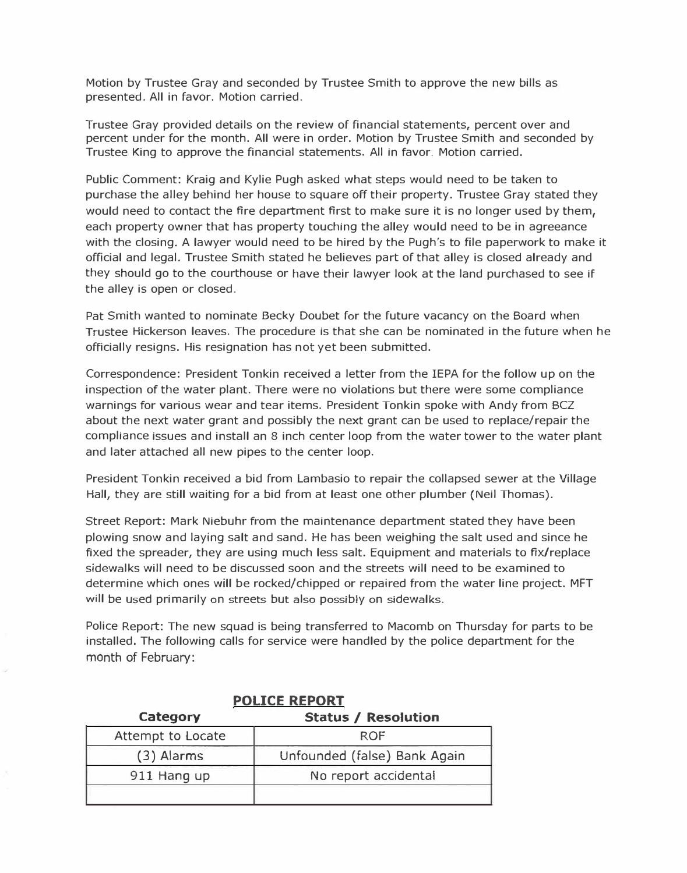**Motion by Trustee Gray and seconded by Trustee Smith to approve the new bills as presented. All in favor. Motion carried.** 

**Trustee Gray provided details on the review of financial statements, percent over and percent under for the month. All were in order. Motion by Trustee Smith and seconded by Trustee King to approve the financial statements. All in favor. Motion carried.** 

**Public Comment: Kraig and Kylie Pugh asked what steps would need to be taken to purchase the alley behind her house to square** *off* **their property. Trustee Gray stated they would need to contact the fire department first to make sure it is no longer used by them, each property owner that has property touching the alley would need to be in agreeance with the closing. A lawyer would need to be hired by the Pugh's to file paperwork to make it official and legal. Trustee Smith stated he believes part of that alley is closed already and they should go to the courthouse or have their lawyer look at the land purchased to see if the alley is open or closed.** 

**Pat Smith wanted to nominate Becky Doubet for the future vacancy on the Board when Trustee Hickerson leaves. The procedure is that she can be nominated in the future when he officially resigns. His resignation has not yet been submitted.** 

**Correspondence: President Tonkin received a letter from the IEPA for the follow up on the inspection of the water plant. There were no violations but there were some compliance warnings for various wear and tear items. President Tonkin spoke with Andy from BCZ about the next water grant and possibly the next grant can be used to replace/repair the compliance issues and install an 8 inch center loop from the water tower to the water plant and later attached all new pipes to the center loop.** 

**President Tonkin received a bid from Lambasio to repair the collapsed sewer at the Village Hall, they are still waiting for a bid from at least one other plumber (Neil Thomas).** 

**Street Report: Mark Niebuhr from the maintenance department stated they have been plowing snow and laying salt and sand. He has been weighing the salt used and since he fixed the spreader, they are using much less salt. Equipment and materials to fix/replace sidewalks will need to be discussed soon and the streets will need to be examined to determine which ones will be rocked/chipped or repaired from the water line project. MFT will be used primarily on streets but also possibly on sidewalks.** 

**Police Report: The new squad is being transferred to Macomb on Thursday for parts to be installed. The following calls for service were handled by the police department for the**  month of February:

| <b>POLICE REPORT</b> |                              |  |  |  |
|----------------------|------------------------------|--|--|--|
| Category             | <b>Status / Resolution</b>   |  |  |  |
| Attempt to Locate    | ROF                          |  |  |  |
| $(3)$ Alarms         | Unfounded (false) Bank Again |  |  |  |
| 911 Hang up          | No report accidental         |  |  |  |
|                      |                              |  |  |  |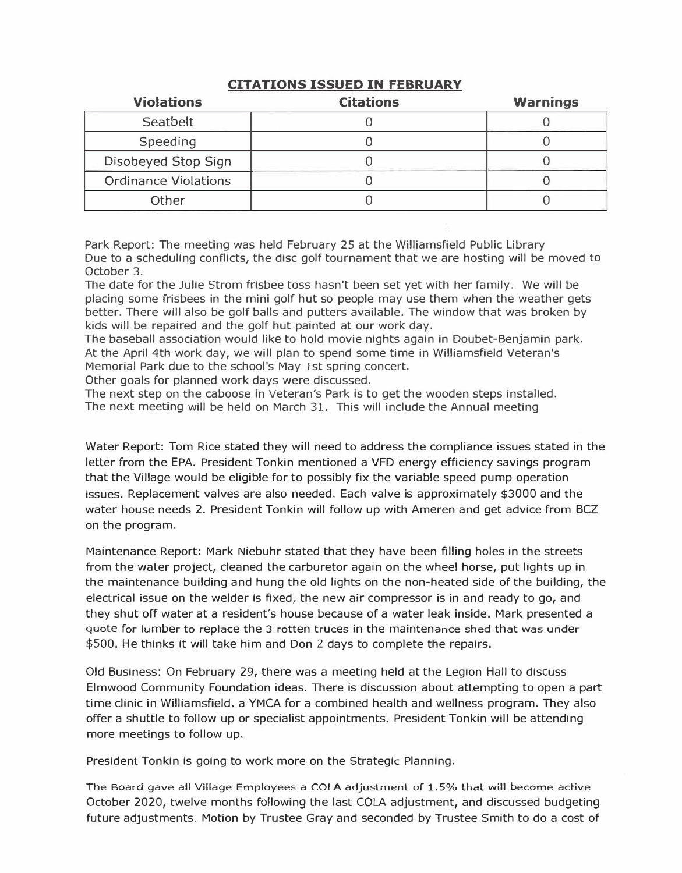| <b>Violations</b>           | <b>Citations</b> | <b>Warnings</b> |
|-----------------------------|------------------|-----------------|
| Seatbelt                    |                  |                 |
| Speeding                    |                  |                 |
| Disobeyed Stop Sign         |                  |                 |
| <b>Ordinance Violations</b> |                  |                 |
| Other                       |                  |                 |

## **CITATIONS ISSUED IN FEBRUARY**

**Park Report: The meeting was held February 25 at the Williamsfield Public Library Due to a scheduling conflicts, the disc golf tournament that we are hosting will be moved to October 3.** 

**The date for the Julie Strom frisbee toss hasn't been set yet with her family. We will be placing some frisbees in the mini golf hut so people may use them when the weather gets better. There will also be golf balls and putters available. The window that was broken by kids will be repaired and the golf hut painted at our work day.** 

**The baseball association would like to hold movie nights again in Doubet-Benjamin park. At the April 4th work day, we will plan to spend some time in Williamsfield Veteran's Memorial Park due to the school's May 1st spring concert.** 

**Other goals for planned work days were discussed.** 

**The next step on the caboose in Veteran's Park is to get the wooden steps installed. The next meeting will be held on March 31. This will include the Annual meeting** 

**Water Report: Tom Rice stated they will need to address the compliance issues stated in the letter from the EPA. President Tonkin mentioned a VFD energy efficiency savings program that the Village would be eligible for to possibly fix the variable speed pump operation issues. Replacement valves are also needed. Each valve is approximately \$3000 and the water house needs 2. President Tonkin will follow up with Ameren and get advice from BCZ on the program.** 

**Maintenance Report: Mark Niebuhr stated that they have been filling holes in the streets from the water project, cleaned the carburetor again on the wheel horse, put lights up in the maintenance building and hung the old lights on the non-heated side of the building, the electrical issue on the welder is fixed, the new air compressor is in and ready to go, and they shut off water at a resident's house because of a water leak inside. Mark presented a quote for lumber to replace the 3 rotten truces in the maintenance shed that was under \$500. He thinks it will take him and Don 2 days to complete the repairs.** 

**Old Business: On February 29, there was a meeting held at the Legion Hall to discuss Elmwood Community Foundation ideas. There is discussion about attempting to open a part time clinic in Williamsfield. a YMCA for a combined health and wellness program. They also offer a shuttle to follow up or specialist appointments. President Tonkin will be attending more meetings to follow up.** 

**President Tonkin is going to work more on the Strategic Planning.** 

The Board gave all Village Employees a COLA adjustment of 1.5% that will become active **October 2020, twelve months following the last COLA adjustment, and discussed budgeting future adjustments. Motion by Trustee Gray and seconded by Trustee Smith to do a cost of**